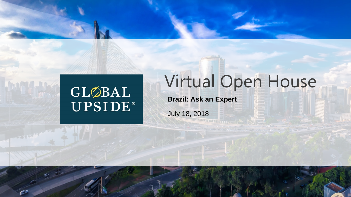# GLØBAL<br>UPSIDE®

## Virtual Open House

**Brazil: Ask an Expert** 

July 18, 2018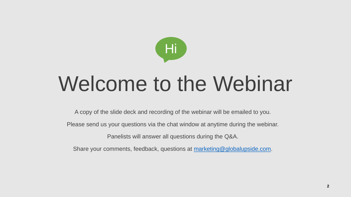

# Welcome to the Webinar

A copy of the slide deck and recording of the webinar will be emailed to you.

Please send us your questions via the chat window at anytime during the webinar.

Panelists will answer all questions during the Q&A.

Share your comments, feedback, questions at [marketing@globalupside.com.](mailto:marketing@globalupside.com)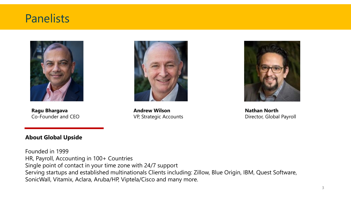### Panelists



**Ragu Bhargava** Co-Founder and CEO

**Andrew Wilson** VP, Strategic Accounts



**Nathan North** Director, Global Payroll

#### **About Global Upside**

Founded in 1999 HR, Payroll, Accounting in 100+ Countries Single point of contact in your time zone with 24/7 support Serving startups and established multinationals Clients including: Zillow, Blue Origin, IBM, Quest Software, SonicWall, Vitamix, Aclara, Aruba/HP, Viptela/Cisco and many more.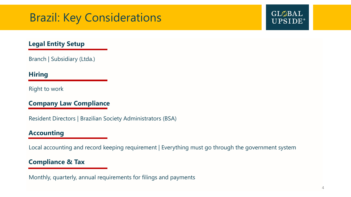### Brazil: Key Considerations

### GLØBAL **UPSIDE**®

### **Legal Entity Setup**

Branch | Subsidiary (Ltda.)

### **Hiring**

Right to work

### **Company Law Compliance**

Resident Directors | Brazilian Society Administrators (BSA)

### **Accounting**

Local accounting and record keeping requirement | Everything must go through the government system

### **Compliance & Tax**

Monthly, quarterly, annual requirements for filings and payments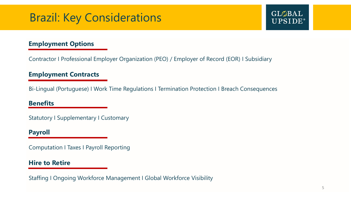### Brazil: Key Considerations

### **Employment Options**

Contractor I Professional Employer Organization (PEO) / Employer of Record (EOR) I Subsidiary

#### **Employment Contracts**

Bi-Lingual (Portuguese) I Work Time Regulations I Termination Protection I Breach Consequences

#### **Benefits**

Statutory I Supplementary I Customary

#### **Payroll**

Computation I Taxes I Payroll Reporting

#### **Hire to Retire**

Staffing I Ongoing Workforce Management I Global Workforce Visibility

 $GL<sub>\oslash</sub>BAL$ 

**UPSIDE**®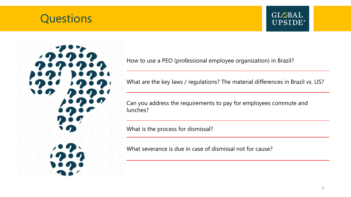### **Questions**

### GLØBAL **UPSIDE**®

How to use a PEO (professional employee organization) in Brazil?

What are the key laws / regulations? The material differences in Brazil vs. US?

Can you address the requirements to pay for employees commute and lunches?

What is the process for dismissal?

What severance is due in case of dismissal not for cause?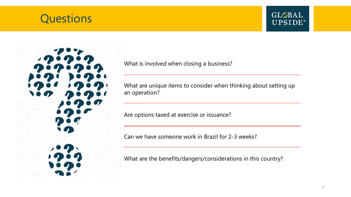### **Questions**

### GLØBAL **UPSIDE**®

What is involved when closing a business?

What are unique items to consider when thinking about setting up an operation?

Are options taxed at exercise or issuance?

Can we have someone work in Brazil for 2-3 weeks?

What are the benefits/dangers/considerations in this country?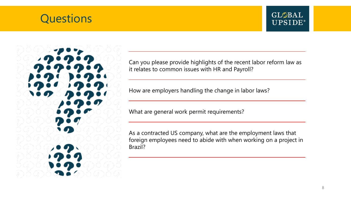### **Questions**





Can you please provide highlights of the recent labor reform law as it relates to common issues with HR and Payroll?

How are employers handling the change in labor laws?

What are general work permit requirements?

As a contracted US company, what are the employment laws that foreign employees need to abide with when working on a project in Brazil?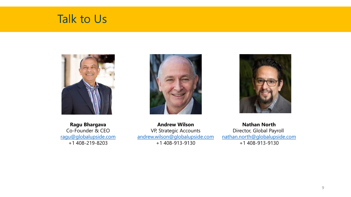



**Ragu Bhargava** Co-Founder & CEO [ragu@globalupside.com](mailto:ragu@globalupside.com) +1 408-219-8203





**Andrew Wilson** VP, Strategic Accounts [andrew.wilson@globalupside.com](mailto:andrew.wilson@globalupside.com) +1 408-913-9130

**Nathan North** Director, Global Payroll [nathan.north@globalupside.com](mailto:nathan.north@globalupside.com) +1 408-913-9130